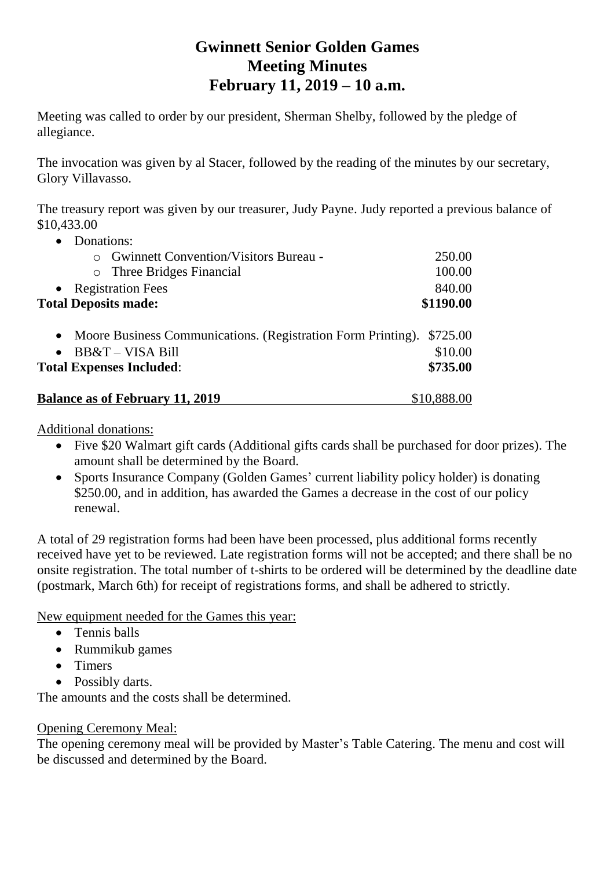# **Gwinnett Senior Golden Games Meeting Minutes February 11, 2019 – 10 a.m.**

Meeting was called to order by our president, Sherman Shelby, followed by the pledge of allegiance.

The invocation was given by al Stacer, followed by the reading of the minutes by our secretary, Glory Villavasso.

The treasury report was given by our treasurer, Judy Payne. Judy reported a previous balance of \$10,433.00

| Donations:                                                     |             |
|----------------------------------------------------------------|-------------|
| <b>Gwinnett Convention/Visitors Bureau -</b>                   | 250.00      |
| o Three Bridges Financial                                      | 100.00      |
| <b>Registration Fees</b>                                       | 840.00      |
| <b>Total Deposits made:</b>                                    | \$1190.00   |
| • Moore Business Communications. (Registration Form Printing). | \$725.00    |
| BB&T – VISA Bill<br>$\bullet$                                  | \$10.00     |
| <b>Total Expenses Included:</b>                                | \$735.00    |
| <b>Balance as of February 11, 2019</b>                         | \$10,888.00 |

Additional donations:

- Five \$20 Walmart gift cards (Additional gifts cards shall be purchased for door prizes). The amount shall be determined by the Board.
- Sports Insurance Company (Golden Games' current liability policy holder) is donating \$250.00, and in addition, has awarded the Games a decrease in the cost of our policy renewal.

A total of 29 registration forms had been have been processed, plus additional forms recently received have yet to be reviewed. Late registration forms will not be accepted; and there shall be no onsite registration. The total number of t-shirts to be ordered will be determined by the deadline date (postmark, March 6th) for receipt of registrations forms, and shall be adhered to strictly.

New equipment needed for the Games this year:

- Tennis balls
- Rummikub games
- Timers
- Possibly darts.

The amounts and the costs shall be determined.

# Opening Ceremony Meal:

The opening ceremony meal will be provided by Master's Table Catering. The menu and cost will be discussed and determined by the Board.